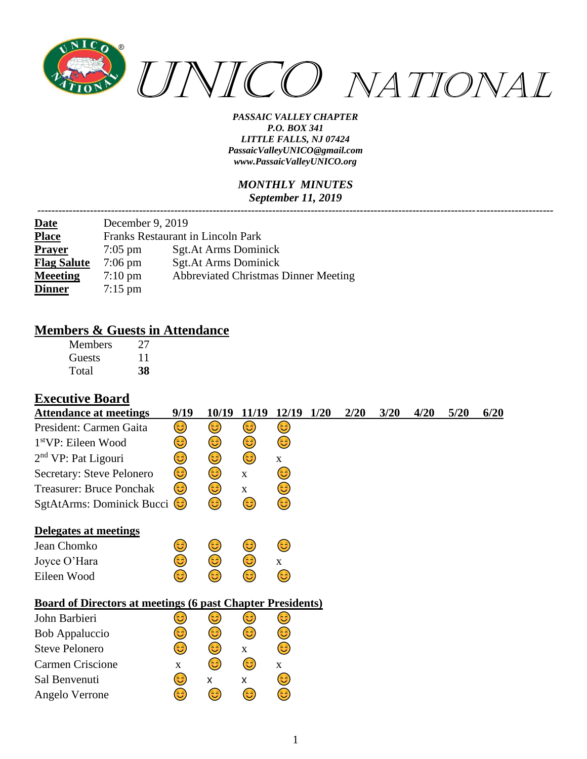

*PASSAIC VALLEY CHAPTER P.O. BOX 341 LITTLE FALLS, NJ 07424 PassaicValleyUNICO@gmail.com [www.PassaicValleyUNICO.org](http://www.passaicvalleyunico.org/)*

#### *MONTHLY MINUTES September 11, 2019*

| <b>Date</b>        | December 9, 2019                         |                                             |  |  |  |  |  |  |  |
|--------------------|------------------------------------------|---------------------------------------------|--|--|--|--|--|--|--|
| <b>Place</b>       | <b>Franks Restaurant in Lincoln Park</b> |                                             |  |  |  |  |  |  |  |
| <b>Prayer</b>      | $7:05$ pm                                | <b>Sgt.At Arms Dominick</b>                 |  |  |  |  |  |  |  |
| <b>Flag Salute</b> | $7:06 \text{ pm}$                        | <b>Sgt.At Arms Dominick</b>                 |  |  |  |  |  |  |  |
| <b>Meeeting</b>    | $7:10 \text{ pm}$                        | <b>Abbreviated Christmas Dinner Meeting</b> |  |  |  |  |  |  |  |
| <b>Dinner</b>      | $7:15 \text{ pm}$                        |                                             |  |  |  |  |  |  |  |

### **Members & Guests in Attendance**

| <b>Members</b> | 27 |
|----------------|----|
| Guests         | 11 |
| Total          | 38 |

#### **Executive Board**

| <b>Attendance at meetings</b>                                     | 9/19        | 10/19 | 11/19       | 12/19        | 1/20 | 2/20 | 3/20 | 4/20 | 5/20 | 6/20 |
|-------------------------------------------------------------------|-------------|-------|-------------|--------------|------|------|------|------|------|------|
| President: Carmen Gaita                                           | 3)          | 3)    | 3           | 3)           |      |      |      |      |      |      |
| 1 <sup>st</sup> VP: Eileen Wood                                   | 3           | 3)    | ٢           | ٢            |      |      |      |      |      |      |
| $2nd$ VP: Pat Ligouri                                             | 3           | 3     | ٢           | $\mathbf{X}$ |      |      |      |      |      |      |
| Secretary: Steve Pelonero                                         | ٢           | ٢     | $\mathbf X$ | 3)           |      |      |      |      |      |      |
| <b>Treasurer: Bruce Ponchak</b>                                   | 3)          | 3     | $\mathbf X$ | 3)           |      |      |      |      |      |      |
| SgtAtArms: Dominick Bucci (C)                                     |             | 3     | ٢           | 3            |      |      |      |      |      |      |
| Delegates at meetings                                             |             |       |             |              |      |      |      |      |      |      |
| Jean Chomko                                                       | 3           | 3)    | 3           | 3)           |      |      |      |      |      |      |
| Joyce O'Hara                                                      | 3           | 6     | ٢           | $\mathbf{X}$ |      |      |      |      |      |      |
| Eileen Wood                                                       | ದಿ          | ದಿ    | 3           | 3            |      |      |      |      |      |      |
| <b>Board of Directors at meetings (6 past Chapter Presidents)</b> |             |       |             |              |      |      |      |      |      |      |
| John Barbieri                                                     | ی           | 3     | 3)          | 3)           |      |      |      |      |      |      |
| <b>Bob Appaluccio</b>                                             | 3           | 3     | ٢           | 3)           |      |      |      |      |      |      |
| <b>Steve Pelonero</b>                                             | 3)          | ٢     | X           | 3)           |      |      |      |      |      |      |
| <b>Carmen Criscione</b>                                           | $\mathbf X$ | 3)    | 3)          | $\mathbf{X}$ |      |      |      |      |      |      |
| Sal Benvenuti                                                     | 3           | X     | X           | 3            |      |      |      |      |      |      |
| Angelo Verrone                                                    | ಡ           | 3)    | 3           | ತಿ           |      |      |      |      |      |      |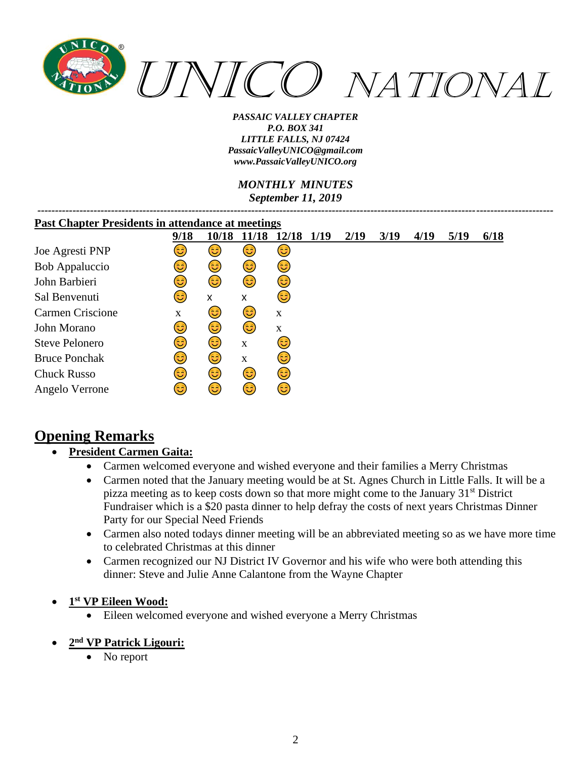

*PASSAIC VALLEY CHAPTER P.O. BOX 341 LITTLE FALLS, NJ 07424 PassaicValleyUNICO@gmail.com [www.PassaicValleyUNICO.org](http://www.passaicvalleyunico.org/)*

*MONTHLY MINUTES September 11, 2019*

| <b>Past Chapter Presidents in attendance at meetings</b> |      |       |             |       |      |      |      |      |      |      |
|----------------------------------------------------------|------|-------|-------------|-------|------|------|------|------|------|------|
|                                                          | 9/18 | 10/18 | 11/18       | 12/18 | 1/19 | 2/19 | 3/19 | 4/19 | 5/19 | 6/18 |
| Joe Agresti PNP                                          | 3    | 3)    | 3)          | 3)    |      |      |      |      |      |      |
| Bob Appaluccio                                           | 3    | 3)    | 3)          | 3)    |      |      |      |      |      |      |
| John Barbieri                                            | 3    | 6     | 3           | 3)    |      |      |      |      |      |      |
| Sal Benvenuti                                            | 3    | X     | x           | 6     |      |      |      |      |      |      |
| Carmen Criscione                                         | X    | 3)    | 3)          | X     |      |      |      |      |      |      |
| John Morano                                              | 3    | 3)    | 3           | X     |      |      |      |      |      |      |
| Steve Pelonero                                           | 3    | (3    | $\bf{X}$    | 3)    |      |      |      |      |      |      |
| <b>Bruce Ponchak</b>                                     | 3    | 6     | $\mathbf X$ | 3     |      |      |      |      |      |      |
| <b>Chuck Russo</b>                                       | 3    | ٢     | 3)          | 3)    |      |      |      |      |      |      |
| Angelo Verrone                                           | ಡ    | 3     | 3)          | 6     |      |      |      |      |      |      |

# **Opening Remarks**

### • **President Carmen Gaita:**

- Carmen welcomed everyone and wished everyone and their families a Merry Christmas
- Carmen noted that the January meeting would be at St. Agnes Church in Little Falls. It will be a pizza meeting as to keep costs down so that more might come to the January  $31<sup>st</sup>$  District Fundraiser which is a \$20 pasta dinner to help defray the costs of next years Christmas Dinner Party for our Special Need Friends
- Carmen also noted todays dinner meeting will be an abbreviated meeting so as we have more time to celebrated Christmas at this dinner
- Carmen recognized our NJ District IV Governor and his wife who were both attending this dinner: Steve and Julie Anne Calantone from the Wayne Chapter
- **1 st VP Eileen Wood:**
	- Eileen welcomed everyone and wished everyone a Merry Christmas
- **2 nd VP Patrick Ligouri:**
	- No report